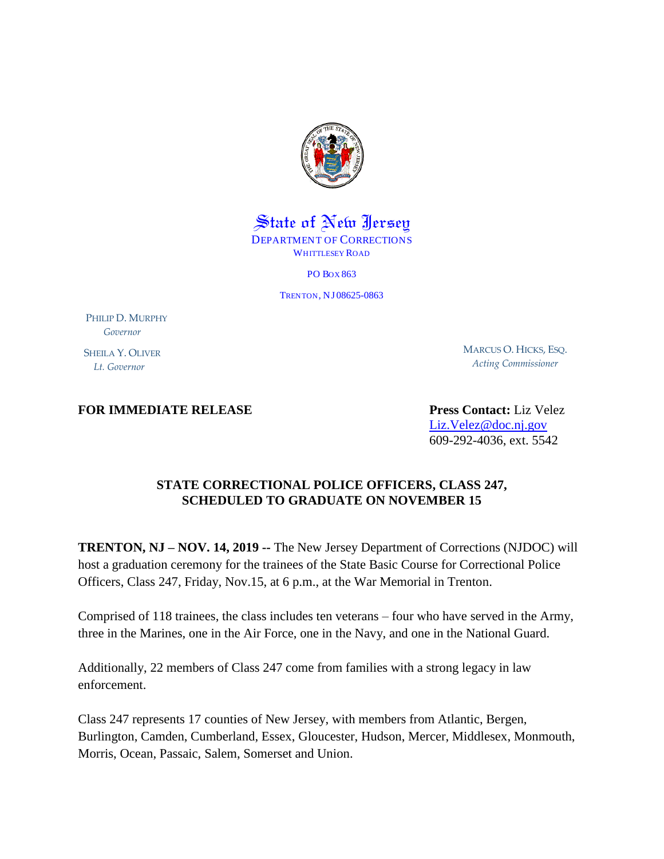

State of New Jersey DEPARTMENT OF CORRECTIONS WHITTLESEY ROAD

PO BOX 863

TRENTON, NJ 08625-0863

PHILIP D. MURPHY  *Governor* SHEILA Y. OLIVER

 *Lt. Governor*

MARCUS O. HICKS, ESQ. *Acting Commissioner*

## **FOR IMMEDIATE RELEASE Press Contact:** Liz Velez

[Liz.Velez@doc.nj.gov](mailto:Liz.Velez@doc.nj.gov) 609-292-4036, ext. 5542

## **STATE CORRECTIONAL POLICE OFFICERS, CLASS 247, SCHEDULED TO GRADUATE ON NOVEMBER 15**

**TRENTON, NJ – NOV. 14, 2019 --** The New Jersey Department of Corrections (NJDOC) will host a graduation ceremony for the trainees of the State Basic Course for Correctional Police Officers, Class 247, Friday, Nov.15, at 6 p.m., at the War Memorial in Trenton.

Comprised of 118 trainees, the class includes ten veterans – four who have served in the Army, three in the Marines, one in the Air Force, one in the Navy, and one in the National Guard.

Additionally, 22 members of Class 247 come from families with a strong legacy in law enforcement.

Class 247 represents 17 counties of New Jersey, with members from Atlantic, Bergen, Burlington, Camden, Cumberland, Essex, Gloucester, Hudson, Mercer, Middlesex, Monmouth, Morris, Ocean, Passaic, Salem, Somerset and Union.